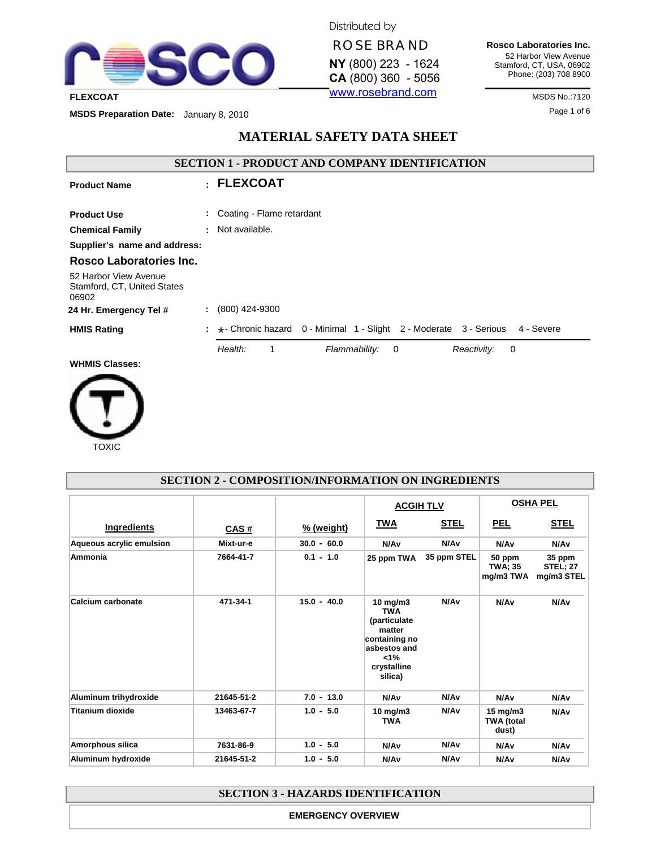

Distributed by

**ROSE BRAND** 

**NY** (800) 223 - 1624 **CA** (800) 360 - 5056 **Rosco Laboratories Inc.** 52 Harbor View Avenue Stamford, CT, USA, 06902 Phone: (203) 708 8900

Page 1 of 6 **MSDS Preparation Date:** January 8, 2010

# **MATERIAL SAFETY DATA SHEET**

# **Product Name : FLEXCOAT SECTION 1 - PRODUCT AND COMPANY IDENTIFICATION Product Use :** Coating - Flame retardant **Chemical Family :** Not available. **Supplier's name and address: Rosco Laboratories Inc.** 52 Harbor View Avenue Stamford, CT, United States 06902 **24 Hr. Emergency Tel # :** (800) 424-9300 **HMIS Rating :**  $\star$ - Chronic hazard 0 - Minimal 1 - Slight 2 - Moderate 3 - Serious 4 - Severe *Health:* 1 *Flammability:* 0 *Reactivity:* 0 **WHMIS Classes:**



| SECTION 2 - COMPOSITION/INFORMATION ON INGREDIENTS |             |               |                                                                                                                           |                  |                                                 |                                         |
|----------------------------------------------------|-------------|---------------|---------------------------------------------------------------------------------------------------------------------------|------------------|-------------------------------------------------|-----------------------------------------|
|                                                    |             |               | <b>ACGIH TLV</b>                                                                                                          |                  | <b>OSHA PEL</b>                                 |                                         |
| Ingredients                                        | <u>CAS#</u> | % (weight)    | TWA                                                                                                                       | <b>STEL</b>      | <b>PEL</b>                                      | <b>STEL</b>                             |
| Aqueous acrylic emulsion                           | Mixt-ur-e   | $30.0 - 60.0$ | N/A <sub>v</sub>                                                                                                          | N/Av             | N/Av                                            | N/Av                                    |
| Ammonia                                            | 7664-41-7   | $0.1 - 1.0$   | 25 ppm TWA                                                                                                                | 35 ppm STEL      | 50 ppm<br><b>TWA: 35</b><br>mg/m3 TWA           | 35 ppm<br><b>STEL: 27</b><br>mg/m3 STEL |
| Calcium carbonate                                  | 471-34-1    | $15.0 - 40.0$ | 10 mg/m $3$<br><b>TWA</b><br>(particulate<br>matter<br>containing no<br>asbestos and<br>$< 1\%$<br>crystalline<br>silica) | N/A <sub>v</sub> | N/A <sub>v</sub>                                | N/Av                                    |
| Aluminum trihydroxide                              | 21645-51-2  | $7.0 - 13.0$  | N/A <sub>v</sub>                                                                                                          | N/A <sub>v</sub> | N/Av                                            | N/Av                                    |
| <b>Titanium dioxide</b>                            | 13463-67-7  | $1.0 - 5.0$   | 10 $mg/m3$<br><b>TWA</b>                                                                                                  | N/Av             | $15 \text{ mg/m}$<br><b>TWA</b> (total<br>dust) | N/Av                                    |
| Amorphous silica                                   | 7631-86-9   | $1.0 - 5.0$   | N/A <sub>v</sub>                                                                                                          | N/A <sub>v</sub> | N/A <sub>v</sub>                                | N/Av                                    |
| Aluminum hydroxide                                 | 21645-51-2  | $1.0 - 5.0$   | N/A <sub>v</sub>                                                                                                          | N/Av             | N/Av                                            | N/Av                                    |

**SECTION 2 - COMPOSITION/INFORMATION ON INGREDIENTS**

### **SECTION 3 - HAZARDS IDENTIFICATION**

**EMERGENCY OVERVIEW**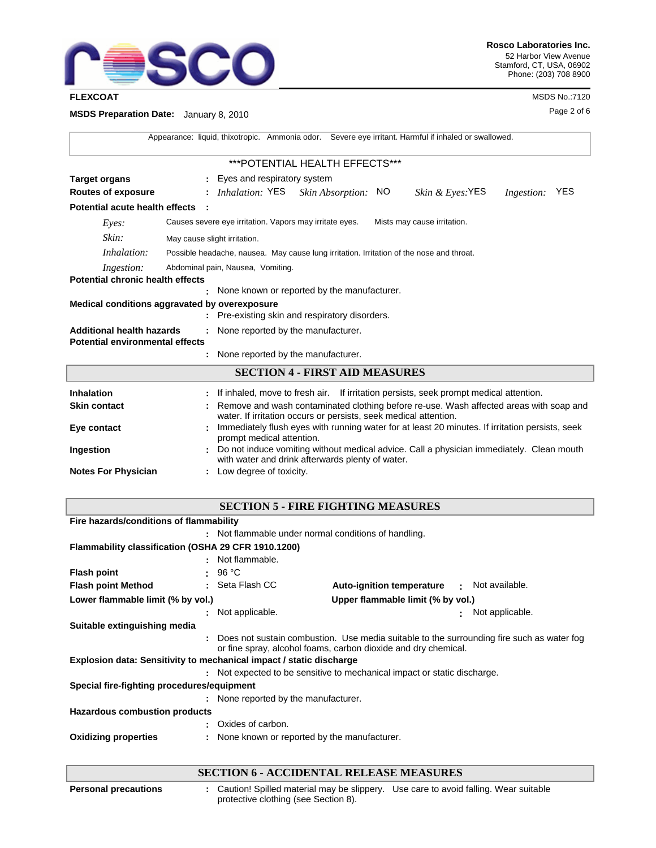

Page 2 of 6 **MSDS Preparation Date:** January 8, 2010

|                                                                            | Appearance: liquid, thixotropic. Ammonia odor. Severe eye irritant. Harmful if inhaled or swallowed.                                                       |  |  |  |  |
|----------------------------------------------------------------------------|------------------------------------------------------------------------------------------------------------------------------------------------------------|--|--|--|--|
|                                                                            | ***POTENTIAL HEALTH EFFECTS***                                                                                                                             |  |  |  |  |
| <b>Target organs</b>                                                       | : Eyes and respiratory system                                                                                                                              |  |  |  |  |
| <b>Routes of exposure</b>                                                  | : Inhalation: YES<br>Skin Absorption: NO<br><b>YES</b><br><i>Skin &amp; Eyes:YES</i><br><i>Ingestion:</i>                                                  |  |  |  |  |
| Potential acute health effects                                             |                                                                                                                                                            |  |  |  |  |
| Eves:                                                                      | Causes severe eye irritation. Vapors may irritate eyes.<br>Mists may cause irritation.                                                                     |  |  |  |  |
| Skin:                                                                      | May cause slight irritation.                                                                                                                               |  |  |  |  |
| Inhalation:                                                                | Possible headache, nausea. May cause lung irritation. Irritation of the nose and throat.                                                                   |  |  |  |  |
| Ingestion:                                                                 | Abdominal pain, Nausea, Vomiting.                                                                                                                          |  |  |  |  |
| <b>Potential chronic health effects</b>                                    | None known or reported by the manufacturer.                                                                                                                |  |  |  |  |
|                                                                            | Medical conditions aggravated by overexposure<br>Pre-existing skin and respiratory disorders.                                                              |  |  |  |  |
| <b>Additional health hazards</b><br><b>Potential environmental effects</b> | None reported by the manufacturer.                                                                                                                         |  |  |  |  |
|                                                                            | None reported by the manufacturer.                                                                                                                         |  |  |  |  |
|                                                                            | <b>SECTION 4 - FIRST AID MEASURES</b>                                                                                                                      |  |  |  |  |
| Inhalation                                                                 | If inhaled, move to fresh air. If irritation persists, seek prompt medical attention.                                                                      |  |  |  |  |
| <b>Skin contact</b>                                                        | Remove and wash contaminated clothing before re-use. Wash affected areas with soap and<br>water. If irritation occurs or persists, seek medical attention. |  |  |  |  |
| Eye contact                                                                | Immediately flush eyes with running water for at least 20 minutes. If irritation persists, seek<br>prompt medical attention.                               |  |  |  |  |
| Ingestion                                                                  | Do not induce vomiting without medical advice. Call a physician immediately. Clean mouth<br>with water and drink afterwards plenty of water.               |  |  |  |  |
| <b>Notes For Physician</b>                                                 | Low degree of toxicity.                                                                                                                                    |  |  |  |  |

| Fire hazards/conditions of flammability                             |                     |                                                                          |                                                                                           |  |
|---------------------------------------------------------------------|---------------------|--------------------------------------------------------------------------|-------------------------------------------------------------------------------------------|--|
|                                                                     |                     | : Not flammable under normal conditions of handling.                     |                                                                                           |  |
| Flammability classification (OSHA 29 CFR 1910.1200)                 |                     |                                                                          |                                                                                           |  |
|                                                                     | : Not flammable.    |                                                                          |                                                                                           |  |
| <b>Flash point</b>                                                  | : 96 °C             |                                                                          |                                                                                           |  |
| <b>Flash point Method</b>                                           | $:$ Seta Flash CC   |                                                                          | <b>Auto-ignition temperature :</b> Not available.                                         |  |
| Lower flammable limit (% by vol.)                                   |                     |                                                                          | Upper flammable limit (% by vol.)                                                         |  |
|                                                                     | Not applicable.     |                                                                          | Not applicable.                                                                           |  |
| Suitable extinguishing media                                        |                     |                                                                          |                                                                                           |  |
|                                                                     |                     | or fine spray, alcohol foams, carbon dioxide and dry chemical.           | Does not sustain combustion. Use media suitable to the surrounding fire such as water fog |  |
| Explosion data: Sensitivity to mechanical impact / static discharge |                     |                                                                          |                                                                                           |  |
|                                                                     |                     | : Not expected to be sensitive to mechanical impact or static discharge. |                                                                                           |  |
| Special fire-fighting procedures/equipment                          |                     |                                                                          |                                                                                           |  |
|                                                                     |                     | : None reported by the manufacturer.                                     |                                                                                           |  |
| <b>Hazardous combustion products</b>                                |                     |                                                                          |                                                                                           |  |
|                                                                     | : Oxides of carbon. |                                                                          |                                                                                           |  |
| <b>Oxidizing properties</b>                                         |                     | : None known or reported by the manufacturer.                            |                                                                                           |  |
|                                                                     |                     |                                                                          |                                                                                           |  |
|                                                                     |                     |                                                                          |                                                                                           |  |

**SECTION 5 - FIRE FIGHTING MEASURES**

### **SECTION 6 - ACCIDENTAL RELEASE MEASURES**

**Personal precautions :**

Caution! Spilled material may be slippery. Use care to avoid falling. Wear suitable protective clothing (see Section 8).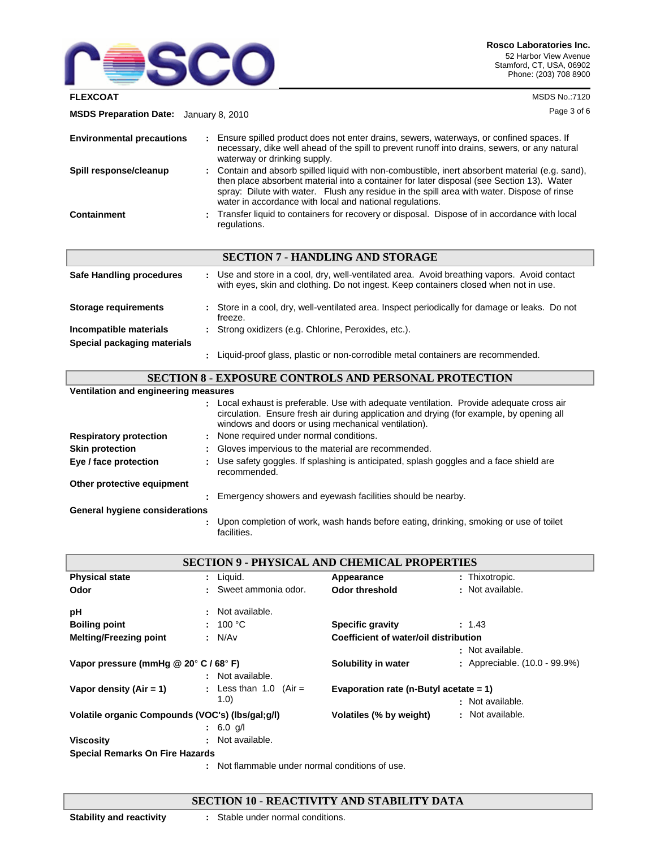

| <b>MSDS Preparation Date:</b> January 8, 2010 |                                                                                                                                                                                                                                                                                                                                                        | Page 3 of 6 |
|-----------------------------------------------|--------------------------------------------------------------------------------------------------------------------------------------------------------------------------------------------------------------------------------------------------------------------------------------------------------------------------------------------------------|-------------|
| <b>Environmental precautions</b>              | : Ensure spilled product does not enter drains, sewers, waterways, or confined spaces. If<br>necessary, dike well ahead of the spill to prevent runoff into drains, sewers, or any natural<br>waterway or drinking supply.                                                                                                                             |             |
| Spill response/cleanup                        | : Contain and absorb spilled liquid with non-combustible, inert absorbent material (e.g. sand),<br>then place absorbent material into a container for later disposal (see Section 13). Water<br>spray: Dilute with water. Flush any residue in the spill area with water. Dispose of rinse<br>water in accordance with local and national regulations. |             |
| Containment                                   | : Transfer liquid to containers for recovery or disposal. Dispose of in accordance with local<br>regulations.                                                                                                                                                                                                                                          |             |
|                                               |                                                                                                                                                                                                                                                                                                                                                        |             |

| <b>SECTION 7 - HANDLING AND STORAGE</b> |  |                                                                                                                                                                                     |
|-----------------------------------------|--|-------------------------------------------------------------------------------------------------------------------------------------------------------------------------------------|
| Safe Handling procedures                |  | : Use and store in a cool, dry, well-ventilated area. Avoid breathing vapors. Avoid contact<br>with eyes, skin and clothing. Do not ingest. Keep containers closed when not in use. |
| <b>Storage requirements</b>             |  | : Store in a cool, dry, well-ventilated area. Inspect periodically for damage or leaks. Do not<br>freeze.                                                                           |
| Incompatible materials                  |  | : Strong oxidizers (e.g. Chlorine, Peroxides, etc.).                                                                                                                                |
| Special packaging materials             |  |                                                                                                                                                                                     |
|                                         |  | Liquid-proof glass, plastic or non-corrodible metal containers are recommended.                                                                                                     |

|                                      |  | <b>SECTION 8 - EXPOSURE CONTROLS AND PERSONAL PROTECTION</b>                                                                                                                                                                                |  |  |
|--------------------------------------|--|---------------------------------------------------------------------------------------------------------------------------------------------------------------------------------------------------------------------------------------------|--|--|
| Ventilation and engineering measures |  |                                                                                                                                                                                                                                             |  |  |
|                                      |  | : Local exhaust is preferable. Use with adequate ventilation. Provide adequate cross air<br>circulation. Ensure fresh air during application and drying (for example, by opening all<br>windows and doors or using mechanical ventilation). |  |  |
| <b>Respiratory protection</b>        |  | : None required under normal conditions.                                                                                                                                                                                                    |  |  |
| <b>Skin protection</b>               |  | : Gloves impervious to the material are recommended.                                                                                                                                                                                        |  |  |
| Eye / face protection                |  | : Use safety goggles. If splashing is anticipated, splash goggles and a face shield are<br>recommended.                                                                                                                                     |  |  |
| Other protective equipment           |  |                                                                                                                                                                                                                                             |  |  |
|                                      |  | : Emergency showers and eyewash facilities should be nearby.                                                                                                                                                                                |  |  |
| General hygiene considerations       |  |                                                                                                                                                                                                                                             |  |  |
|                                      |  | : Upon completion of work, wash hands before eating, drinking, smoking or use of toilet<br>facilities.                                                                                                                                      |  |  |

| <b>SECTION 9 - PHYSICAL AND CHEMICAL PROPERTIES</b>                              |                                                 |                                           |                               |  |
|----------------------------------------------------------------------------------|-------------------------------------------------|-------------------------------------------|-------------------------------|--|
| <b>Physical state</b>                                                            | $:$ Liquid.                                     | Appearance                                | : Thixotropic.                |  |
| Odor                                                                             | : Sweet ammonia odor.                           | Odor threshold                            | : Not available.              |  |
| рH                                                                               | : Not available.                                |                                           |                               |  |
| <b>Boiling point</b>                                                             | : 100 °C                                        | <b>Specific gravity</b>                   | : 1.43                        |  |
| : N/Av<br><b>Melting/Freezing point</b><br>Coefficient of water/oil distribution |                                                 |                                           |                               |  |
|                                                                                  |                                                 |                                           | : Not available.              |  |
| Vapor pressure (mmHg @ 20° C / 68° F)                                            |                                                 | Solubility in water                       | : Appreciable. (10.0 - 99.9%) |  |
|                                                                                  | : Not available.                                |                                           |                               |  |
| Vapor density $(Air = 1)$                                                        | : Less than $1.0$ (Air =                        | Evaporation rate (n-Butyl acetate $= 1$ ) |                               |  |
|                                                                                  | (1.0)                                           |                                           | : Not available.              |  |
| Volatile organic Compounds (VOC's) (lbs/gal;g/l)                                 |                                                 | Volatiles (% by weight)                   | : Not available.              |  |
|                                                                                  | $: 6.0$ g/l                                     |                                           |                               |  |
| <b>Viscosity</b>                                                                 | : Not available.                                |                                           |                               |  |
| <b>Special Remarks On Fire Hazards</b>                                           |                                                 |                                           |                               |  |
|                                                                                  | : Not flammable under normal conditions of use. |                                           |                               |  |

#### **SECTION 10 - REACTIVITY AND STABILITY DATA**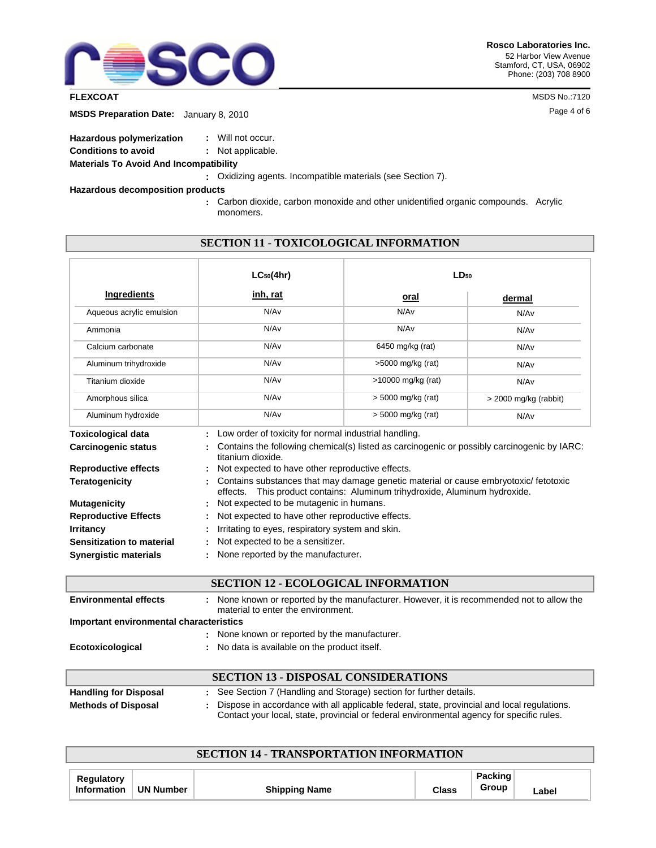

| <b>MSDS Preparation Date:</b> January 8, 2010 |                   | Page 4 of 6 |
|-----------------------------------------------|-------------------|-------------|
| Hazardous polymerization                      | : Will not occur. |             |
| <b>Conditions to avoid</b>                    | : Not applicable. |             |
| <b>Materials To Avoid And Incompatibility</b> |                   |             |
|                                               |                   |             |

Oxidizing agents. Incompatible materials (see Section 7). **:**

**Hazardous decomposition products**

**:** Carbon dioxide, carbon monoxide and other unidentified organic compounds. Acrylic monomers.

|  | SECTION 11 - TOXICOLOGICAL INFORMATION |
|--|----------------------------------------|
|--|----------------------------------------|

|                              | $LC_{50}(4hr)$                                                                                                                                                    | LD <sub>50</sub>                                 |                       |  |
|------------------------------|-------------------------------------------------------------------------------------------------------------------------------------------------------------------|--------------------------------------------------|-----------------------|--|
| <b>Ingredients</b>           | inh, rat                                                                                                                                                          | oral                                             | dermal                |  |
| Aqueous acrylic emulsion     | N/A <sub>v</sub>                                                                                                                                                  | N/A <sub>v</sub>                                 | N/Av                  |  |
| Ammonia                      | N/Av                                                                                                                                                              | N/Av                                             | N/Av                  |  |
| Calcium carbonate            | N/Av                                                                                                                                                              | 6450 mg/kg (rat)                                 | N/Av                  |  |
| Aluminum trihydroxide        | N/Av                                                                                                                                                              | >5000 mg/kg (rat)                                | N/Av                  |  |
| Titanium dioxide             | N/Av                                                                                                                                                              | >10000 mg/kg (rat)                               | N/Av                  |  |
| Amorphous silica             | N/Av                                                                                                                                                              | > 5000 mg/kg (rat)                               | > 2000 mg/kg (rabbit) |  |
| Aluminum hydroxide           | N/Av                                                                                                                                                              | > 5000 mg/kg (rat)                               | N/A <sub>v</sub>      |  |
| <b>Toxicological data</b>    | Low order of toxicity for normal industrial handling.                                                                                                             |                                                  |                       |  |
| <b>Carcinogenic status</b>   | Contains the following chemical(s) listed as carcinogenic or possibly carcinogenic by IARC:<br>titanium dioxide.                                                  |                                                  |                       |  |
| <b>Reproductive effects</b>  | Not expected to have other reproductive effects.                                                                                                                  |                                                  |                       |  |
| <b>Teratogenicity</b>        | Contains substances that may damage genetic material or cause embryotoxic/fetotoxic<br>effects. This product contains: Aluminum trihydroxide, Aluminum hydroxide. |                                                  |                       |  |
| <b>Mutagenicity</b>          | Not expected to be mutagenic in humans.                                                                                                                           |                                                  |                       |  |
| <b>Reproductive Effects</b>  | Not expected to have other reproductive effects.                                                                                                                  |                                                  |                       |  |
| <b>Irritancy</b>             |                                                                                                                                                                   | Irritating to eyes, respiratory system and skin. |                       |  |
| Sensitization to material    | Not expected to be a sensitizer.                                                                                                                                  |                                                  |                       |  |
| <b>Synergistic materials</b> | None reported by the manufacturer.                                                                                                                                |                                                  |                       |  |

| <b>SECTION 12 - ECOLOGICAL INFORMATION</b> |                                                                                                                                 |  |
|--------------------------------------------|---------------------------------------------------------------------------------------------------------------------------------|--|
| <b>Environmental effects</b>               | : None known or reported by the manufacturer. However, it is recommended not to allow the<br>material to enter the environment. |  |
| Important environmental characteristics    |                                                                                                                                 |  |
|                                            | : None known or reported by the manufacturer.                                                                                   |  |
| Ecotoxicological                           | : No data is available on the product itself.                                                                                   |  |

| <b>SECTION 13 - DISPOSAL CONSIDERATIONS</b> |                                                                                                                                                                                          |  |  |
|---------------------------------------------|------------------------------------------------------------------------------------------------------------------------------------------------------------------------------------------|--|--|
| <b>Handling for Disposal</b>                | : See Section 7 (Handling and Storage) section for further details.                                                                                                                      |  |  |
| <b>Methods of Disposal</b>                  | Dispose in accordance with all applicable federal, state, provincial and local regulations.<br>Contact your local, state, provincial or federal environmental agency for specific rules. |  |  |

| <b>SECTION 14 - TRANSPORTATION INFORMATION</b> |                           |                  |                      |       |                         |       |  |
|------------------------------------------------|---------------------------|------------------|----------------------|-------|-------------------------|-------|--|
|                                                | Regulatory<br>Information | <b>UN Number</b> | <b>Shipping Name</b> | Class | <b>Packing</b><br>Group | Label |  |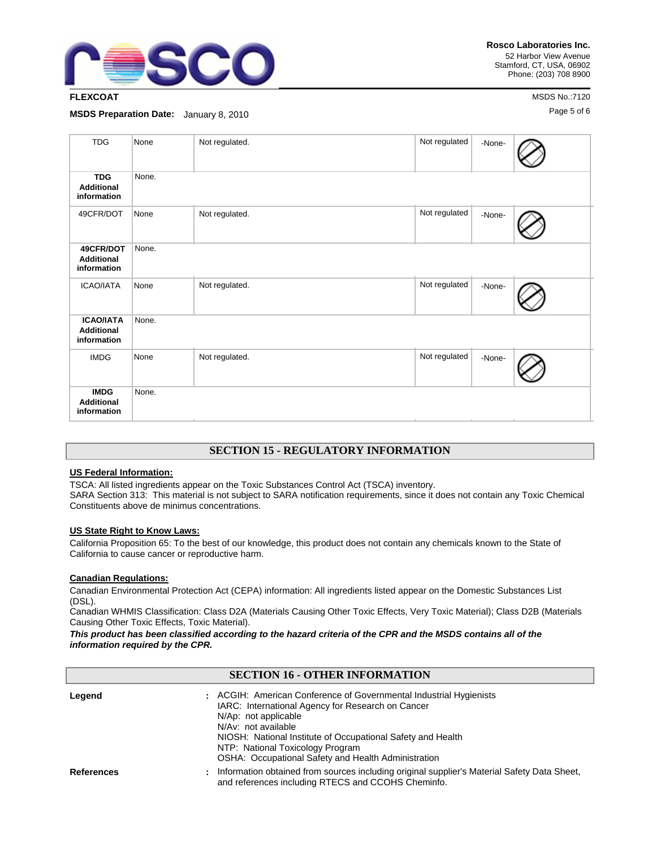

Page 5 of 6 **MSDS Preparation Date:** January 8, 2010

| <b>TDG</b>                                           | None  | Not regulated. | Not regulated | -None- |  |
|------------------------------------------------------|-------|----------------|---------------|--------|--|
| <b>TDG</b><br><b>Additional</b><br>information       | None. |                |               |        |  |
| 49CFR/DOT                                            | None  | Not regulated. | Not regulated | -None- |  |
| 49CFR/DOT<br><b>Additional</b><br>information        | None. |                |               |        |  |
| <b>ICAO/IATA</b>                                     | None  | Not regulated. | Not regulated | -None- |  |
| <b>ICAO/IATA</b><br><b>Additional</b><br>information | None. |                |               |        |  |
| <b>IMDG</b>                                          | None  | Not regulated. | Not regulated | -None- |  |
| <b>IMDG</b><br><b>Additional</b><br>information      | None. |                |               |        |  |

## **SECTION 15 - REGULATORY INFORMATION**

## **US Federal Information:**

TSCA: All listed ingredients appear on the Toxic Substances Control Act (TSCA) inventory. SARA Section 313: This material is not subject to SARA notification requirements, since it does not contain any Toxic Chemical Constituents above de minimus concentrations.

#### **US State Right to Know Laws:**

California Proposition 65: To the best of our knowledge, this product does not contain any chemicals known to the State of California to cause cancer or reproductive harm.

#### **Canadian Regulations:**

Canadian Environmental Protection Act (CEPA) information: All ingredients listed appear on the Domestic Substances List (DSL).

Canadian WHMIS Classification: Class D2A (Materials Causing Other Toxic Effects, Very Toxic Material); Class D2B (Materials Causing Other Toxic Effects, Toxic Material).

*This product has been classified according to the hazard criteria of the CPR and the MSDS contains all of the information required by the CPR.*

## **SECTION 16 - OTHER INFORMATION**

| Legend            |    | : ACGIH: American Conference of Governmental Industrial Hygienists<br>IARC: International Agency for Research on Cancer<br>N/Ap: not applicable<br>N/Av: not available<br>NIOSH: National Institute of Occupational Safety and Health<br>NTP: National Toxicology Program<br>OSHA: Occupational Safety and Health Administration |
|-------------------|----|----------------------------------------------------------------------------------------------------------------------------------------------------------------------------------------------------------------------------------------------------------------------------------------------------------------------------------|
| <b>References</b> | ÷. | Information obtained from sources including original supplier's Material Safety Data Sheet,<br>and references including RTECS and CCOHS Cheminfo.                                                                                                                                                                                |